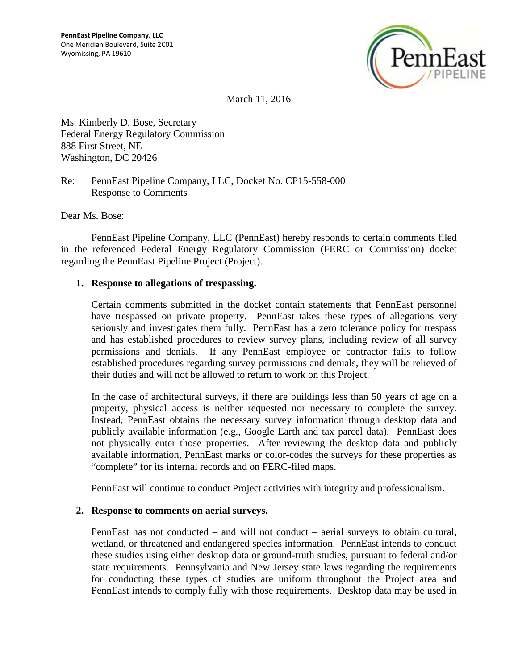

March 11, 2016

Ms. Kimberly D. Bose, Secretary Federal Energy Regulatory Commission 888 First Street, NE Washington, DC 20426

Re: PennEast Pipeline Company, LLC, Docket No. CP15-558-000 Response to Comments

Dear Ms. Bose:

PennEast Pipeline Company, LLC (PennEast) hereby responds to certain comments filed in the referenced Federal Energy Regulatory Commission (FERC or Commission) docket regarding the PennEast Pipeline Project (Project).

#### **1. Response to allegations of trespassing.**

Certain comments submitted in the docket contain statements that PennEast personnel have trespassed on private property. PennEast takes these types of allegations very seriously and investigates them fully. PennEast has a zero tolerance policy for trespass and has established procedures to review survey plans, including review of all survey permissions and denials. If any PennEast employee or contractor fails to follow established procedures regarding survey permissions and denials, they will be relieved of their duties and will not be allowed to return to work on this Project.

In the case of architectural surveys, if there are buildings less than 50 years of age on a property, physical access is neither requested nor necessary to complete the survey. Instead, PennEast obtains the necessary survey information through desktop data and publicly available information (e.g., Google Earth and tax parcel data). PennEast does not physically enter those properties. After reviewing the desktop data and publicly available information, PennEast marks or color-codes the surveys for these properties as "complete" for its internal records and on FERC-filed maps.

PennEast will continue to conduct Project activities with integrity and professionalism.

#### **2. Response to comments on aerial surveys.**

PennEast has not conducted – and will not conduct – aerial surveys to obtain cultural, wetland, or threatened and endangered species information. PennEast intends to conduct these studies using either desktop data or ground-truth studies, pursuant to federal and/or state requirements. Pennsylvania and New Jersey state laws regarding the requirements for conducting these types of studies are uniform throughout the Project area and PennEast intends to comply fully with those requirements. Desktop data may be used in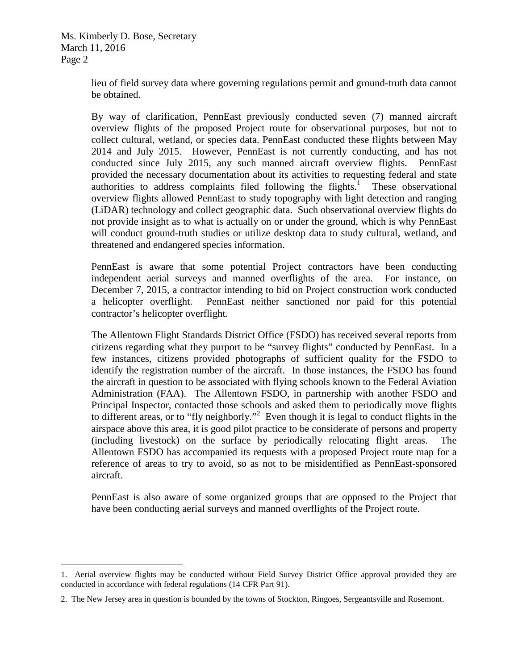Ms. Kimberly D. Bose, Secretary March 11, 2016 Page 2

> lieu of field survey data where governing regulations permit and ground-truth data cannot be obtained.

> By way of clarification, PennEast previously conducted seven (7) manned aircraft overview flights of the proposed Project route for observational purposes, but not to collect cultural, wetland, or species data. PennEast conducted these flights between May 2014 and July 2015. However, PennEast is not currently conducting, and has not conducted since July 2015, any such manned aircraft overview flights. PennEast provided the necessary documentation about its activities to requesting federal and state authorities to address complaints filed following the flights.<sup>1</sup> These observational overview flights allowed PennEast to study topography with light detection and ranging (LiDAR) technology and collect geographic data. Such observational overview flights do not provide insight as to what is actually on or under the ground, which is why PennEast will conduct ground-truth studies or utilize desktop data to study cultural, wetland, and threatened and endangered species information.

> PennEast is aware that some potential Project contractors have been conducting independent aerial surveys and manned overflights of the area. For instance, on December 7, 2015, a contractor intending to bid on Project construction work conducted a helicopter overflight. PennEast neither sanctioned nor paid for this potential contractor's helicopter overflight.

> The Allentown Flight Standards District Office (FSDO) has received several reports from citizens regarding what they purport to be "survey flights" conducted by PennEast. In a few instances, citizens provided photographs of sufficient quality for the FSDO to identify the registration number of the aircraft. In those instances, the FSDO has found the aircraft in question to be associated with flying schools known to the Federal Aviation Administration (FAA). The Allentown FSDO, in partnership with another FSDO and Principal Inspector, contacted those schools and asked them to periodically move flights to different areas, or to "fly neighborly."<sup>2</sup> Even though it is legal to conduct flights in the airspace above this area, it is good pilot practice to be considerate of persons and property (including livestock) on the surface by periodically relocating flight areas. The Allentown FSDO has accompanied its requests with a proposed Project route map for a reference of areas to try to avoid, so as not to be misidentified as PennEast-sponsored aircraft.

> PennEast is also aware of some organized groups that are opposed to the Project that have been conducting aerial surveys and manned overflights of the Project route.

<sup>1.</sup> Aerial overview flights may be conducted without Field Survey District Office approval provided they are conducted in accordance with federal regulations (14 CFR Part 91).

<sup>2.</sup> The New Jersey area in question is bounded by the towns of Stockton, Ringoes, Sergeantsville and Rosemont.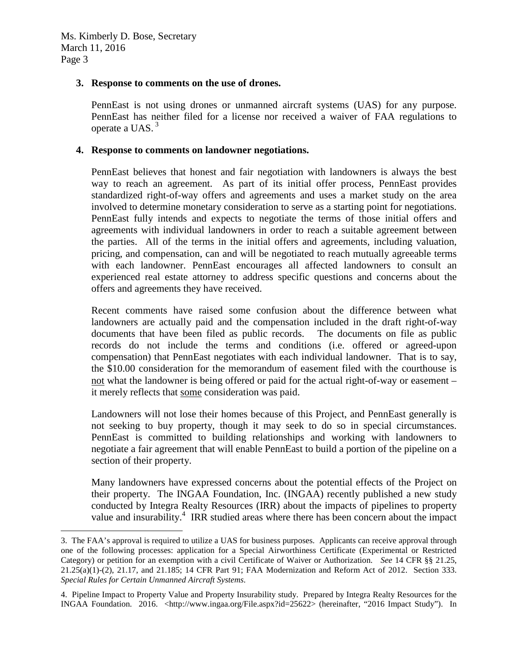### **3. Response to comments on the use of drones.**

PennEast is not using drones or unmanned aircraft systems (UAS) for any purpose. PennEast has neither filed for a license nor received a waiver of FAA regulations to operate a UAS.<sup>3</sup>

#### **4. Response to comments on landowner negotiations.**

PennEast believes that honest and fair negotiation with landowners is always the best way to reach an agreement. As part of its initial offer process, PennEast provides standardized right-of-way offers and agreements and uses a market study on the area involved to determine monetary consideration to serve as a starting point for negotiations. PennEast fully intends and expects to negotiate the terms of those initial offers and agreements with individual landowners in order to reach a suitable agreement between the parties. All of the terms in the initial offers and agreements, including valuation, pricing, and compensation, can and will be negotiated to reach mutually agreeable terms with each landowner. PennEast encourages all affected landowners to consult an experienced real estate attorney to address specific questions and concerns about the offers and agreements they have received.

Recent comments have raised some confusion about the difference between what landowners are actually paid and the compensation included in the draft right-of-way documents that have been filed as public records. The documents on file as public records do not include the terms and conditions (i.e. offered or agreed-upon compensation) that PennEast negotiates with each individual landowner. That is to say, the \$10.00 consideration for the memorandum of easement filed with the courthouse is not what the landowner is being offered or paid for the actual right-of-way or easement – it merely reflects that some consideration was paid.

Landowners will not lose their homes because of this Project, and PennEast generally is not seeking to buy property, though it may seek to do so in special circumstances. PennEast is committed to building relationships and working with landowners to negotiate a fair agreement that will enable PennEast to build a portion of the pipeline on a section of their property.

Many landowners have expressed concerns about the potential effects of the Project on their property. The INGAA Foundation, Inc. (INGAA) recently published a new study conducted by Integra Realty Resources (IRR) about the impacts of pipelines to property value and insurability.<sup>4</sup> IRR studied areas where there has been concern about the impact

<sup>3.</sup> The FAA's approval is required to utilize a UAS for business purposes. Applicants can receive approval through one of the following processes: application for a Special Airworthiness Certificate (Experimental or Restricted Category) or petition for an exemption with a civil Certificate of Waiver or Authorization. *See* 14 CFR §§ 21.25, 21.25(a)(1)-(2), 21.17, and 21.185; 14 CFR Part 91; FAA Modernization and Reform Act of 2012. Section 333. *Special Rules for Certain Unmanned Aircraft Systems*.

<sup>4.</sup> Pipeline Impact to Property Value and Property Insurability study. Prepared by Integra Realty Resources for the INGAA Foundation. 2016. <http://www.ingaa.org/File.aspx?id=25622> (hereinafter, "2016 Impact Study"). In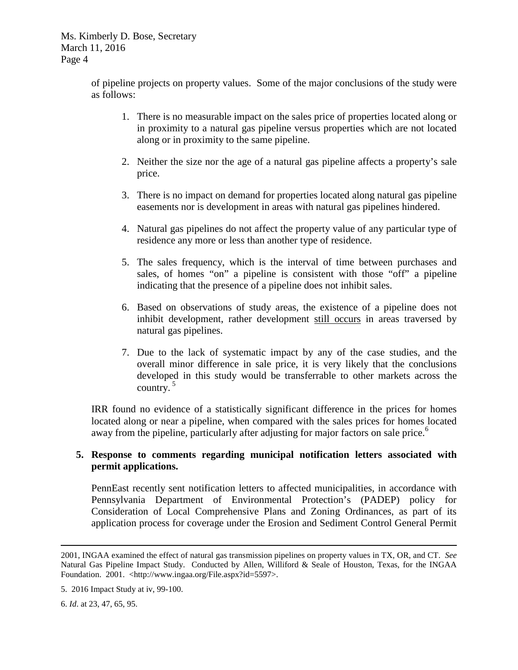Ms. Kimberly D. Bose, Secretary March 11, 2016 Page 4

> of pipeline projects on property values. Some of the major conclusions of the study were as follows:

- 1. There is no measurable impact on the sales price of properties located along or in proximity to a natural gas pipeline versus properties which are not located along or in proximity to the same pipeline.
- 2. Neither the size nor the age of a natural gas pipeline affects a property's sale price.
- 3. There is no impact on demand for properties located along natural gas pipeline easements nor is development in areas with natural gas pipelines hindered.
- 4. Natural gas pipelines do not affect the property value of any particular type of residence any more or less than another type of residence.
- 5. The sales frequency, which is the interval of time between purchases and sales, of homes "on" a pipeline is consistent with those "off" a pipeline indicating that the presence of a pipeline does not inhibit sales.
- 6. Based on observations of study areas, the existence of a pipeline does not inhibit development, rather development still occurs in areas traversed by natural gas pipelines.
- 7. Due to the lack of systematic impact by any of the case studies, and the overall minor difference in sale price, it is very likely that the conclusions developed in this study would be transferrable to other markets across the country. $5$

IRR found no evidence of a statistically significant difference in the prices for homes located along or near a pipeline, when compared with the sales prices for homes located away from the pipeline, particularly after adjusting for major factors on sale price.<sup>6</sup>

# **5. Response to comments regarding municipal notification letters associated with permit applications.**

PennEast recently sent notification letters to affected municipalities, in accordance with Pennsylvania Department of Environmental Protection's (PADEP) policy for Consideration of Local Comprehensive Plans and Zoning Ordinances, as part of its application process for coverage under the Erosion and Sediment Control General Permit

<sup>2001,</sup> INGAA examined the effect of natural gas transmission pipelines on property values in TX, OR, and CT. *See* Natural Gas Pipeline Impact Study. Conducted by Allen, Williford & Seale of Houston, Texas, for the INGAA Foundation. 2001. <http://www.ingaa.org/File.aspx?id=5597>.

<sup>5. 2016</sup> Impact Study at iv, 99-100.

<sup>6.</sup> *Id*. at 23, 47, 65, 95.